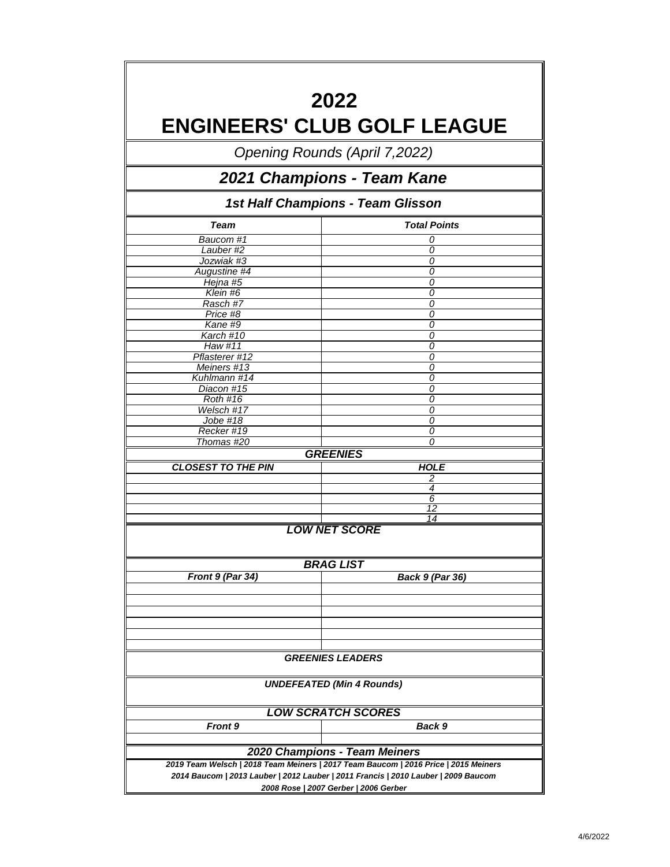|                           | 2022<br><b>ENGINEERS' CLUB GOLF LEAGUE</b>                                          |  |  |  |  |  |
|---------------------------|-------------------------------------------------------------------------------------|--|--|--|--|--|
|                           | <b>Opening Rounds (April 7,2022)</b>                                                |  |  |  |  |  |
|                           | 2021 Champions - Team Kane                                                          |  |  |  |  |  |
|                           | 1st Half Champions - Team Glisson                                                   |  |  |  |  |  |
| <b>Team</b>               | <b>Total Points</b>                                                                 |  |  |  |  |  |
| Baucom #1                 | 0                                                                                   |  |  |  |  |  |
| Lauber#2                  | 0                                                                                   |  |  |  |  |  |
| Jozwiak #3                | 0                                                                                   |  |  |  |  |  |
| Augustine #4              | 0                                                                                   |  |  |  |  |  |
| Hejna #5                  | 0                                                                                   |  |  |  |  |  |
| $\overline{K}$ lein #6    | 0                                                                                   |  |  |  |  |  |
| Rasch #7                  | 0                                                                                   |  |  |  |  |  |
| Price #8                  | 0                                                                                   |  |  |  |  |  |
| Kane #9                   | $\overline{o}$                                                                      |  |  |  |  |  |
| Karch #10                 | 0                                                                                   |  |  |  |  |  |
| Haw #11                   | 0                                                                                   |  |  |  |  |  |
| Pflasterer #12            | 0                                                                                   |  |  |  |  |  |
| Meiners #13               | 0                                                                                   |  |  |  |  |  |
| Kuhlmann #14              | 0                                                                                   |  |  |  |  |  |
| Diacon #15                | 0                                                                                   |  |  |  |  |  |
| <b>Roth #16</b>           | 0                                                                                   |  |  |  |  |  |
| Welsch #17                | 0                                                                                   |  |  |  |  |  |
| Jobe #18                  | 0                                                                                   |  |  |  |  |  |
| Recker #19                | 0                                                                                   |  |  |  |  |  |
| Thomas #20                | ∩                                                                                   |  |  |  |  |  |
|                           | <b>GREENIES</b>                                                                     |  |  |  |  |  |
| <b>CLOSEST TO THE PIN</b> | <b>HOLE</b>                                                                         |  |  |  |  |  |
|                           | 2                                                                                   |  |  |  |  |  |
|                           | 4                                                                                   |  |  |  |  |  |
|                           | 6                                                                                   |  |  |  |  |  |
|                           | 12<br>14                                                                            |  |  |  |  |  |
|                           | <b>LOW NET SCORE</b><br><b>BRAG LIST</b>                                            |  |  |  |  |  |
| Front 9 (Par 34)          | <b>Back 9 (Par 36)</b>                                                              |  |  |  |  |  |
|                           |                                                                                     |  |  |  |  |  |
|                           | <b>GREENIES LEADERS</b>                                                             |  |  |  |  |  |
|                           | <b>UNDEFEATED (Min 4 Rounds)</b>                                                    |  |  |  |  |  |
|                           | <b>LOW SCRATCH SCORES</b>                                                           |  |  |  |  |  |
| <b>Front 9</b>            | Back 9                                                                              |  |  |  |  |  |
|                           | 2020 Champions - Team Meiners                                                       |  |  |  |  |  |
|                           | 2019 Team Welsch   2018 Team Meiners   2017 Team Baucom   2016 Price   2015 Meiners |  |  |  |  |  |
|                           | 2014 Baucom   2013 Lauber   2012 Lauber   2011 Francis   2010 Lauber   2009 Baucom  |  |  |  |  |  |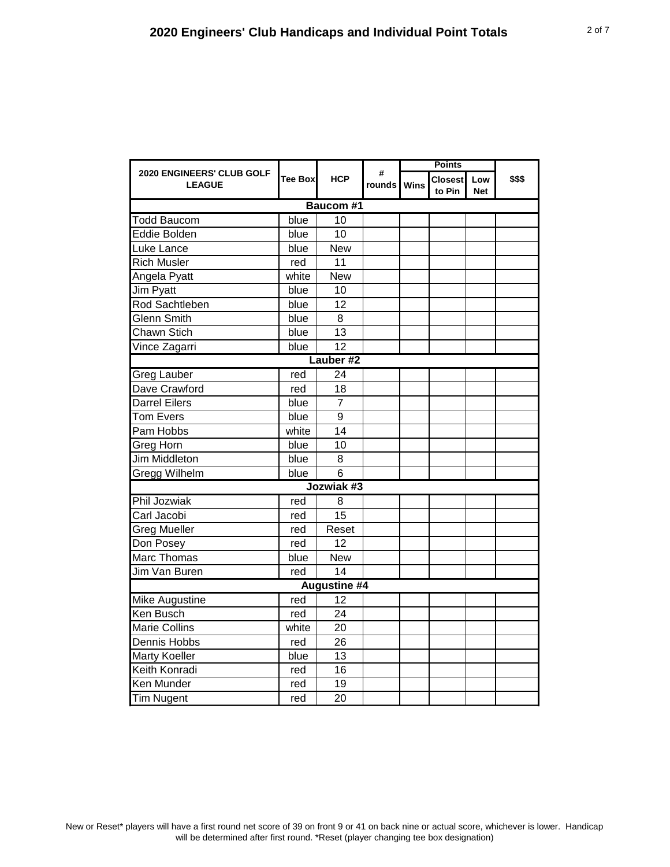| <b>2020 ENGINEERS' CLUB GOLF</b><br><b>LEAGUE</b> | Tee Box | <b>HCP</b>          | #<br>rounds   Wins |  | <b>Closest</b><br>to Pin | Low<br><b>Net</b> | \$\$\$ |  |  |
|---------------------------------------------------|---------|---------------------|--------------------|--|--------------------------|-------------------|--------|--|--|
| <b>Baucom #1</b>                                  |         |                     |                    |  |                          |                   |        |  |  |
| <b>Todd Baucom</b>                                | blue    | 10                  |                    |  |                          |                   |        |  |  |
| Eddie Bolden                                      | blue    | 10                  |                    |  |                          |                   |        |  |  |
| Luke Lance                                        | blue    | <b>New</b>          |                    |  |                          |                   |        |  |  |
| <b>Rich Musler</b>                                | red     | 11                  |                    |  |                          |                   |        |  |  |
| Angela Pyatt                                      | white   | <b>New</b>          |                    |  |                          |                   |        |  |  |
| Jim Pyatt                                         | blue    | 10                  |                    |  |                          |                   |        |  |  |
| Rod Sachtleben                                    | blue    | 12                  |                    |  |                          |                   |        |  |  |
| <b>Glenn Smith</b>                                | blue    | 8                   |                    |  |                          |                   |        |  |  |
| Chawn Stich                                       | blue    | 13                  |                    |  |                          |                   |        |  |  |
| Vince Zagarri                                     | blue    | $\overline{12}$     |                    |  |                          |                   |        |  |  |
|                                                   |         | Lauber #2           |                    |  |                          |                   |        |  |  |
| <b>Greg Lauber</b>                                | red     | 24                  |                    |  |                          |                   |        |  |  |
| Dave Crawford                                     | red     | 18                  |                    |  |                          |                   |        |  |  |
| <b>Darrel Eilers</b>                              | blue    | $\overline{7}$      |                    |  |                          |                   |        |  |  |
| <b>Tom Evers</b>                                  | blue    | 9                   |                    |  |                          |                   |        |  |  |
| Pam Hobbs                                         | white   | 14                  |                    |  |                          |                   |        |  |  |
| Greg Horn                                         | blue    | 10                  |                    |  |                          |                   |        |  |  |
| Jim Middleton                                     | blue    | 8                   |                    |  |                          |                   |        |  |  |
| Gregg Wilhelm                                     | blue    | 6                   |                    |  |                          |                   |        |  |  |
|                                                   |         | Jozwiak #3          |                    |  |                          |                   |        |  |  |
| <b>Phil Jozwiak</b>                               | red     | 8                   |                    |  |                          |                   |        |  |  |
| Carl Jacobi                                       | red     | 15                  |                    |  |                          |                   |        |  |  |
| <b>Greg Mueller</b>                               | red     | Reset               |                    |  |                          |                   |        |  |  |
| Don Posey                                         | red     | 12                  |                    |  |                          |                   |        |  |  |
| Marc Thomas                                       | blue    | <b>New</b>          |                    |  |                          |                   |        |  |  |
| Jim Van Buren                                     | red     | 14                  |                    |  |                          |                   |        |  |  |
|                                                   |         | <b>Augustine #4</b> |                    |  |                          |                   |        |  |  |
| Mike Augustine                                    | red     | 12                  |                    |  |                          |                   |        |  |  |
| Ken Busch                                         | red     | 24                  |                    |  |                          |                   |        |  |  |
| <b>Marie Collins</b>                              | white   | 20                  |                    |  |                          |                   |        |  |  |
| Dennis Hobbs                                      | red     | 26                  |                    |  |                          |                   |        |  |  |
| Marty Koeller                                     | blue    | 13                  |                    |  |                          |                   |        |  |  |
| Keith Konradi                                     | red     | 16                  |                    |  |                          |                   |        |  |  |
| Ken Munder                                        | red     | 19                  |                    |  |                          |                   |        |  |  |
| <b>Tim Nugent</b>                                 | red     | 20                  |                    |  |                          |                   |        |  |  |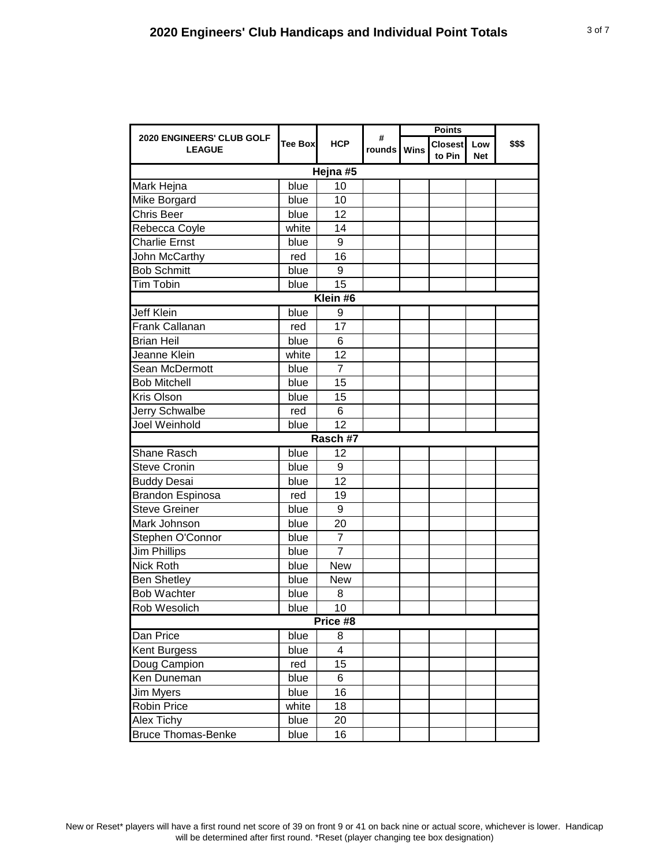|                                            |          |                  | <b>Points</b>      |  |                          |                   |        |  |  |
|--------------------------------------------|----------|------------------|--------------------|--|--------------------------|-------------------|--------|--|--|
| 2020 ENGINEERS' CLUB GOLF<br><b>LEAGUE</b> | Tee Boxl | <b>HCP</b>       | #<br>rounds   Wins |  | <b>Closest</b><br>to Pin | Low<br><b>Net</b> | \$\$\$ |  |  |
| Hejna #5                                   |          |                  |                    |  |                          |                   |        |  |  |
| Mark Hejna                                 | blue     | 10               |                    |  |                          |                   |        |  |  |
| Mike Borgard                               | blue     | 10               |                    |  |                          |                   |        |  |  |
| Chris Beer                                 | blue     | 12               |                    |  |                          |                   |        |  |  |
| Rebecca Coyle                              | white    | 14               |                    |  |                          |                   |        |  |  |
| <b>Charlie Ernst</b>                       | blue     | 9                |                    |  |                          |                   |        |  |  |
| John McCarthy                              | red      | 16               |                    |  |                          |                   |        |  |  |
| <b>Bob Schmitt</b>                         | blue     | $\boldsymbol{9}$ |                    |  |                          |                   |        |  |  |
| Tim Tobin                                  | blue     | 15               |                    |  |                          |                   |        |  |  |
|                                            |          | Klein #6         |                    |  |                          |                   |        |  |  |
| <b>Jeff Klein</b>                          | blue     | 9                |                    |  |                          |                   |        |  |  |
| Frank Callanan                             | red      | 17               |                    |  |                          |                   |        |  |  |
| <b>Brian Heil</b>                          | blue     | 6                |                    |  |                          |                   |        |  |  |
| Jeanne Klein                               | white    | 12               |                    |  |                          |                   |        |  |  |
| Sean McDermott                             | blue     | $\overline{7}$   |                    |  |                          |                   |        |  |  |
| <b>Bob Mitchell</b>                        | blue     | 15               |                    |  |                          |                   |        |  |  |
| Kris Olson                                 | blue     | 15               |                    |  |                          |                   |        |  |  |
| Jerry Schwalbe                             | red      | 6                |                    |  |                          |                   |        |  |  |
| Joel Weinhold                              | blue     | 12               |                    |  |                          |                   |        |  |  |
|                                            |          | Rasch #7         |                    |  |                          |                   |        |  |  |
| Shane Rasch                                | blue     | 12               |                    |  |                          |                   |        |  |  |
| <b>Steve Cronin</b>                        | blue     | $\boldsymbol{9}$ |                    |  |                          |                   |        |  |  |
| <b>Buddy Desai</b>                         | blue     | 12               |                    |  |                          |                   |        |  |  |
| <b>Brandon Espinosa</b>                    | red      | 19               |                    |  |                          |                   |        |  |  |
| <b>Steve Greiner</b>                       | blue     | 9                |                    |  |                          |                   |        |  |  |
| Mark Johnson                               | blue     | 20               |                    |  |                          |                   |        |  |  |
| Stephen O'Connor                           | blue     | 7                |                    |  |                          |                   |        |  |  |
| <b>Jim Phillips</b>                        | blue     | 7                |                    |  |                          |                   |        |  |  |
| <b>Nick Roth</b>                           | blue     | <b>New</b>       |                    |  |                          |                   |        |  |  |
| <b>Ben Shetley</b>                         | blue     | <b>New</b>       |                    |  |                          |                   |        |  |  |
| <b>Bob Wachter</b>                         | blue     | 8                |                    |  |                          |                   |        |  |  |
| <b>Rob Wesolich</b>                        | blue     | 10               |                    |  |                          |                   |        |  |  |
| Price #8                                   |          |                  |                    |  |                          |                   |        |  |  |
| Dan Price                                  | blue     | 8                |                    |  |                          |                   |        |  |  |
| Kent Burgess                               | blue     | 4                |                    |  |                          |                   |        |  |  |
| Doug Campion                               | red      | 15               |                    |  |                          |                   |        |  |  |
| Ken Duneman                                | blue     | 6                |                    |  |                          |                   |        |  |  |
| Jim Myers                                  | blue     | 16               |                    |  |                          |                   |        |  |  |
| Robin Price                                | white    | 18               |                    |  |                          |                   |        |  |  |
| Alex Tichy                                 | blue     | 20               |                    |  |                          |                   |        |  |  |
| <b>Bruce Thomas-Benke</b>                  | blue     | 16               |                    |  |                          |                   |        |  |  |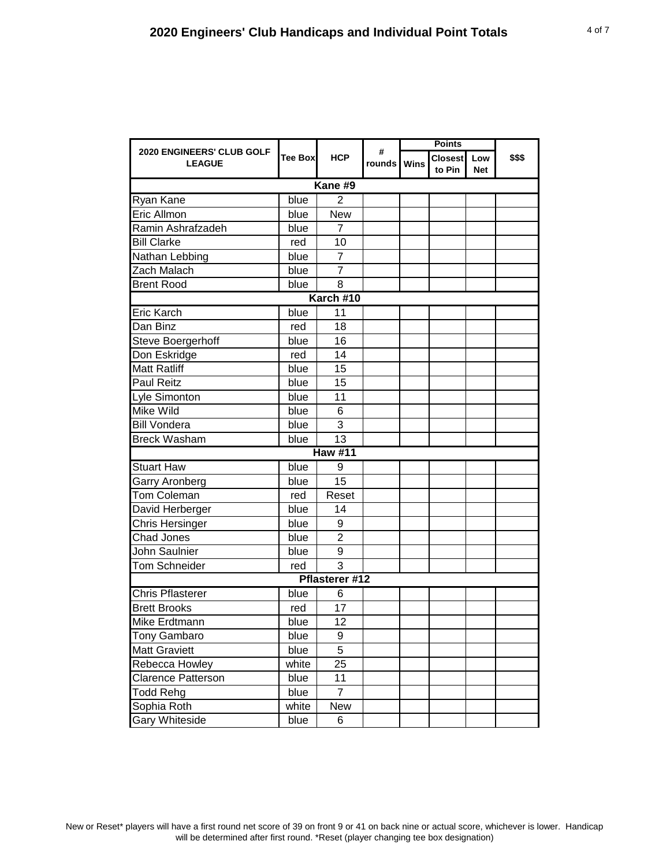| 2020 ENGINEERS' CLUB GOLF |          |                | #           |  | <b>Points</b>            |                   |        |  |  |
|---------------------------|----------|----------------|-------------|--|--------------------------|-------------------|--------|--|--|
| <b>LEAGUE</b>             | Tee Boxl | <b>HCP</b>     | rounds Wins |  | <b>Closest</b><br>to Pin | Low<br><b>Net</b> | \$\$\$ |  |  |
| Kane #9                   |          |                |             |  |                          |                   |        |  |  |
| Ryan Kane                 | blue     | $\mathbf{2}$   |             |  |                          |                   |        |  |  |
| Eric Allmon               | blue     | <b>New</b>     |             |  |                          |                   |        |  |  |
| Ramin Ashrafzadeh         | blue     | $\overline{7}$ |             |  |                          |                   |        |  |  |
| <b>Bill Clarke</b>        | red      | 10             |             |  |                          |                   |        |  |  |
| Nathan Lebbing            | blue     | 7              |             |  |                          |                   |        |  |  |
| Zach Malach               | blue     | 7              |             |  |                          |                   |        |  |  |
| <b>Brent Rood</b>         | blue     | 8              |             |  |                          |                   |        |  |  |
| Karch #10                 |          |                |             |  |                          |                   |        |  |  |
| <b>Eric Karch</b>         | blue     | 11             |             |  |                          |                   |        |  |  |
| Dan Binz                  | red      | 18             |             |  |                          |                   |        |  |  |
| Steve Boergerhoff         | blue     | 16             |             |  |                          |                   |        |  |  |
| Don Eskridge              | red      | 14             |             |  |                          |                   |        |  |  |
| <b>Matt Ratliff</b>       | blue     | 15             |             |  |                          |                   |        |  |  |
| <b>Paul Reitz</b>         | blue     | 15             |             |  |                          |                   |        |  |  |
| Lyle Simonton             | blue     | 11             |             |  |                          |                   |        |  |  |
| Mike Wild                 | blue     | 6              |             |  |                          |                   |        |  |  |
| <b>Bill Vondera</b>       | blue     | 3              |             |  |                          |                   |        |  |  |
| <b>Breck Washam</b>       | blue     | 13             |             |  |                          |                   |        |  |  |
|                           |          | <b>Haw #11</b> |             |  |                          |                   |        |  |  |
| <b>Stuart Haw</b>         | blue     | 9              |             |  |                          |                   |        |  |  |
| Garry Aronberg            | blue     | 15             |             |  |                          |                   |        |  |  |
| <b>Tom Coleman</b>        | red      | Reset          |             |  |                          |                   |        |  |  |
| David Herberger           | blue     | 14             |             |  |                          |                   |        |  |  |
| <b>Chris Hersinger</b>    | blue     | 9              |             |  |                          |                   |        |  |  |
| Chad Jones                | blue     | $\overline{c}$ |             |  |                          |                   |        |  |  |
| John Saulnier             | blue     | 9              |             |  |                          |                   |        |  |  |
| <b>Tom Schneider</b>      | red      | $\overline{3}$ |             |  |                          |                   |        |  |  |
|                           |          | Pflasterer #12 |             |  |                          |                   |        |  |  |
| <b>Chris Pflasterer</b>   | blue     | 6              |             |  |                          |                   |        |  |  |
| <b>Brett Brooks</b>       | red      | 17             |             |  |                          |                   |        |  |  |
| Mike Erdtmann             | blue     | 12             |             |  |                          |                   |        |  |  |
| Tony Gambaro              | blue     | 9              |             |  |                          |                   |        |  |  |
| <b>Matt Graviett</b>      | blue     | 5              |             |  |                          |                   |        |  |  |
| Rebecca Howley            | white    | 25             |             |  |                          |                   |        |  |  |
| Clarence Patterson        | blue     | 11             |             |  |                          |                   |        |  |  |
| <b>Todd Rehg</b>          | blue     | $\overline{7}$ |             |  |                          |                   |        |  |  |
| Sophia Roth               | white    | New            |             |  |                          |                   |        |  |  |
| <b>Gary Whiteside</b>     | blue     | 6              |             |  |                          |                   |        |  |  |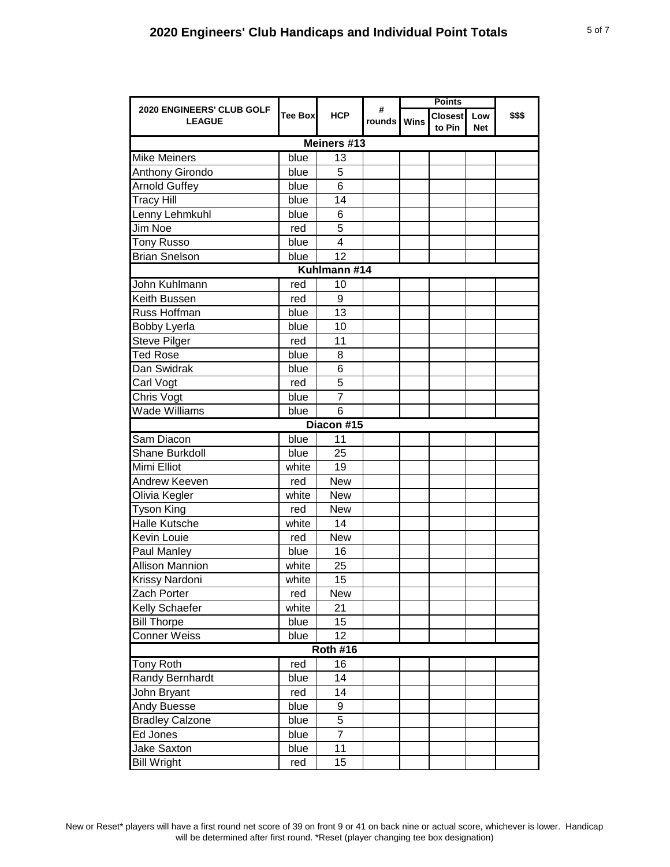|                                            |                |                | <b>Points</b>    |  |                          |                   |        |  |
|--------------------------------------------|----------------|----------------|------------------|--|--------------------------|-------------------|--------|--|
| 2020 ENGINEERS' CLUB GOLF<br><b>LEAGUE</b> | <b>Tee Box</b> | <b>HCP</b>     | #<br>rounds Wins |  | <b>Closest</b><br>to Pin | Low<br><b>Net</b> | \$\$\$ |  |
|                                            |                | Meiners #13    |                  |  |                          |                   |        |  |
| <b>Mike Meiners</b>                        | blue           | 13             |                  |  |                          |                   |        |  |
| Anthony Girondo                            | blue           | 5              |                  |  |                          |                   |        |  |
| <b>Arnold Guffey</b>                       | blue           | 6              |                  |  |                          |                   |        |  |
| <b>Tracy Hill</b>                          | blue           | 14             |                  |  |                          |                   |        |  |
| Lenny Lehmkuhl                             | blue           | 6              |                  |  |                          |                   |        |  |
| Jim Noe                                    | red            | 5              |                  |  |                          |                   |        |  |
| <b>Tony Russo</b>                          | blue           | 4              |                  |  |                          |                   |        |  |
| <b>Brian Snelson</b>                       | blue           | 12             |                  |  |                          |                   |        |  |
| Kuhlmann #14                               |                |                |                  |  |                          |                   |        |  |
| John Kuhlmann                              | red            | 10             |                  |  |                          |                   |        |  |
| Keith Bussen                               | red            | 9              |                  |  |                          |                   |        |  |
| Russ Hoffman                               | blue           | 13             |                  |  |                          |                   |        |  |
| <b>Bobby Lyerla</b>                        | blue           | 10             |                  |  |                          |                   |        |  |
| <b>Steve Pilger</b>                        | red            | 11             |                  |  |                          |                   |        |  |
| <b>Ted Rose</b>                            | blue           | 8              |                  |  |                          |                   |        |  |
| Dan Swidrak                                | blue           | 6              |                  |  |                          |                   |        |  |
| Carl Vogt                                  | red            | 5              |                  |  |                          |                   |        |  |
| Chris Vogt                                 | blue           | 7              |                  |  |                          |                   |        |  |
| <b>Wade Williams</b>                       | blue           | 6              |                  |  |                          |                   |        |  |
|                                            |                | Diacon #15     |                  |  |                          |                   |        |  |
| Sam Diacon                                 | blue           | 11             |                  |  |                          |                   |        |  |
| Shane Burkdoll                             | blue           | 25             |                  |  |                          |                   |        |  |
| Mimi Elliot                                | white          | 19             |                  |  |                          |                   |        |  |
| Andrew Keeven                              | red            | <b>New</b>     |                  |  |                          |                   |        |  |
| Olivia Kegler                              | white          | <b>New</b>     |                  |  |                          |                   |        |  |
| <b>Tyson King</b>                          | red            | <b>New</b>     |                  |  |                          |                   |        |  |
| Halle Kutsche                              | white          | 14             |                  |  |                          |                   |        |  |
| Kevin Louie                                | red            | <b>New</b>     |                  |  |                          |                   |        |  |
| Paul Manley                                | blue           | 16             |                  |  |                          |                   |        |  |
| <b>Allison Mannion</b>                     | white          | 25             |                  |  |                          |                   |        |  |
| <b>Krissy Nardoni</b>                      | white          | 15             |                  |  |                          |                   |        |  |
| Zach Porter                                | red            | <b>New</b>     |                  |  |                          |                   |        |  |
| Kelly Schaefer                             | white          | 21             |                  |  |                          |                   |        |  |
| <b>Bill Thorpe</b>                         | blue           | 15             |                  |  |                          |                   |        |  |
| <b>Conner Weiss</b>                        | blue           | 12             |                  |  |                          |                   |        |  |
| <b>Roth #16</b>                            |                |                |                  |  |                          |                   |        |  |
| <b>Tony Roth</b>                           | red            | 16             |                  |  |                          |                   |        |  |
| Randy Bernhardt                            | blue           | 14             |                  |  |                          |                   |        |  |
| John Bryant                                | red            | 14             |                  |  |                          |                   |        |  |
| Andy Buesse                                | blue           | 9              |                  |  |                          |                   |        |  |
| <b>Bradley Calzone</b>                     | blue           | 5              |                  |  |                          |                   |        |  |
| Ed Jones                                   | blue           | $\overline{7}$ |                  |  |                          |                   |        |  |
| Jake Saxton                                | blue           | 11             |                  |  |                          |                   |        |  |
| <b>Bill Wright</b>                         | red            | 15             |                  |  |                          |                   |        |  |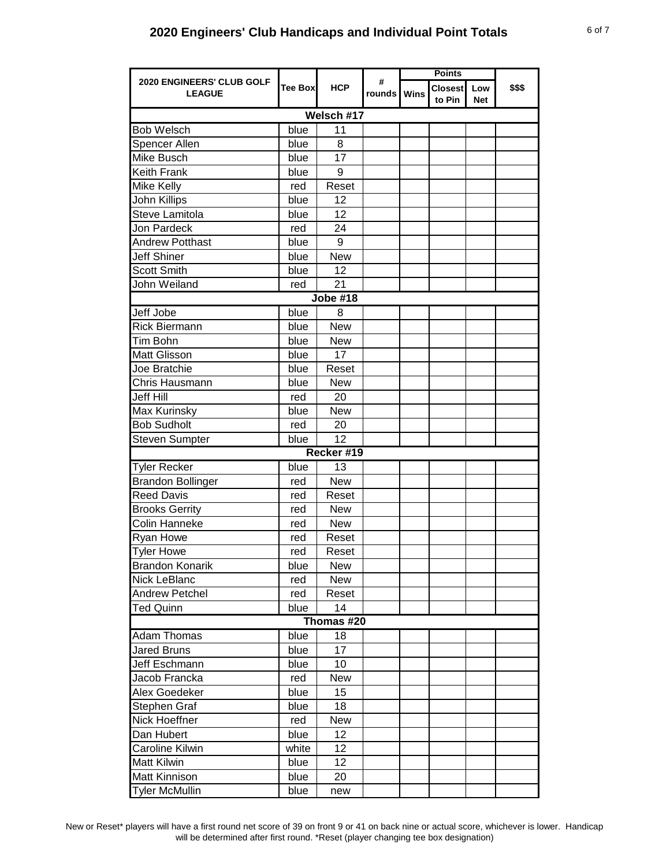|                                            |         |                 | <b>Points</b>    |  |                          |                   |        |  |
|--------------------------------------------|---------|-----------------|------------------|--|--------------------------|-------------------|--------|--|
| 2020 ENGINEERS' CLUB GOLF<br><b>LEAGUE</b> | Tee Box | <b>HCP</b>      | #<br>rounds Wins |  | <b>Closest</b><br>to Pin | Low<br><b>Net</b> | \$\$\$ |  |
| Welsch #17                                 |         |                 |                  |  |                          |                   |        |  |
| <b>Bob Welsch</b>                          | blue    | 11              |                  |  |                          |                   |        |  |
| Spencer Allen                              | blue    | 8               |                  |  |                          |                   |        |  |
| Mike Busch                                 | blue    | 17              |                  |  |                          |                   |        |  |
| Keith Frank                                | blue    | 9               |                  |  |                          |                   |        |  |
| Mike Kelly                                 | red     | Reset           |                  |  |                          |                   |        |  |
| John Killips                               | blue    | 12              |                  |  |                          |                   |        |  |
| Steve Lamitola                             | blue    | 12              |                  |  |                          |                   |        |  |
| <b>Jon Pardeck</b>                         | red     | 24              |                  |  |                          |                   |        |  |
| <b>Andrew Potthast</b>                     | blue    | 9               |                  |  |                          |                   |        |  |
| <b>Jeff Shiner</b>                         | blue    | New             |                  |  |                          |                   |        |  |
| <b>Scott Smith</b>                         | blue    | 12              |                  |  |                          |                   |        |  |
| John Weiland                               | red     | 21              |                  |  |                          |                   |        |  |
|                                            |         | <b>Jobe #18</b> |                  |  |                          |                   |        |  |
| Jeff Jobe                                  | blue    | 8               |                  |  |                          |                   |        |  |
| <b>Rick Biermann</b>                       | blue    | <b>New</b>      |                  |  |                          |                   |        |  |
| Tim Bohn                                   | blue    | <b>New</b>      |                  |  |                          |                   |        |  |
| <b>Matt Glisson</b>                        | blue    | 17              |                  |  |                          |                   |        |  |
| Joe Bratchie                               | blue    | Reset           |                  |  |                          |                   |        |  |
| Chris Hausmann                             | blue    | <b>New</b>      |                  |  |                          |                   |        |  |
| <b>Jeff Hill</b>                           | red     | 20              |                  |  |                          |                   |        |  |
| Max Kurinsky                               | blue    | <b>New</b>      |                  |  |                          |                   |        |  |
| <b>Bob Sudholt</b>                         | red     | 20              |                  |  |                          |                   |        |  |
| <b>Steven Sumpter</b>                      | blue    | 12              |                  |  |                          |                   |        |  |
|                                            |         | Recker #19      |                  |  |                          |                   |        |  |
| <b>Tyler Recker</b>                        | blue    | 13              |                  |  |                          |                   |        |  |
| <b>Brandon Bollinger</b>                   | red     | <b>New</b>      |                  |  |                          |                   |        |  |
| <b>Reed Davis</b>                          | red     | Reset           |                  |  |                          |                   |        |  |
| <b>Brooks Gerrity</b>                      | red     | <b>New</b>      |                  |  |                          |                   |        |  |
| <b>Colin Hanneke</b>                       | red     | <b>New</b>      |                  |  |                          |                   |        |  |
| Ryan Howe                                  | red     | Reset           |                  |  |                          |                   |        |  |
| <b>Tyler Howe</b>                          | red     | Reset           |                  |  |                          |                   |        |  |
| <b>Brandon Konarik</b>                     | blue    | <b>New</b>      |                  |  |                          |                   |        |  |
| Nick LeBlanc                               | red     | New             |                  |  |                          |                   |        |  |
| <b>Andrew Petchel</b>                      | red     | Reset           |                  |  |                          |                   |        |  |
| Ted Quinn                                  | blue    | 14              |                  |  |                          |                   |        |  |
|                                            |         | Thomas #20      |                  |  |                          |                   |        |  |
| <b>Adam Thomas</b>                         | blue    | 18              |                  |  |                          |                   |        |  |
| <b>Jared Bruns</b>                         | blue    | 17              |                  |  |                          |                   |        |  |
| Jeff Eschmann                              | blue    | 10              |                  |  |                          |                   |        |  |
| Jacob Francka                              | red     | New             |                  |  |                          |                   |        |  |
| Alex Goedeker                              | blue    | 15              |                  |  |                          |                   |        |  |
| Stephen Graf                               | blue    | 18              |                  |  |                          |                   |        |  |
| Nick Hoeffner                              | red     | New             |                  |  |                          |                   |        |  |
| Dan Hubert                                 | blue    | 12              |                  |  |                          |                   |        |  |
| Caroline Kilwin                            | white   | 12              |                  |  |                          |                   |        |  |
| <b>Matt Kilwin</b>                         | blue    | 12              |                  |  |                          |                   |        |  |
| <b>Matt Kinnison</b>                       | blue    | 20              |                  |  |                          |                   |        |  |
| <b>Tyler McMullin</b>                      | blue    | new             |                  |  |                          |                   |        |  |